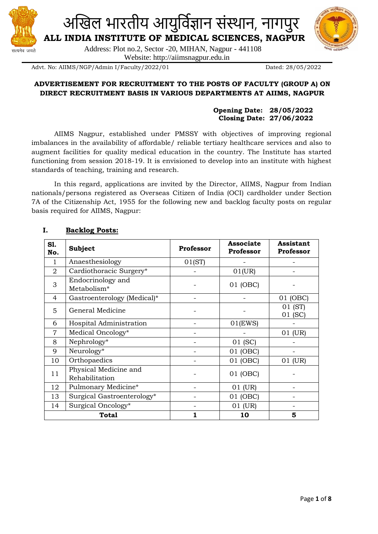



Website: http://aiimsnagpur.edu.in

Advt. No: AIIMS/NGP/Admin I/Faculty/2022/01 Dated: 28/05/2022

सत्यमेव जयते

## **ADVERTISEMENT FOR RECRUITMENT TO THE POSTS OF FACULTY (GROUP A) ON DIRECT RECRUITMENT BASIS IN VARIOUS DEPARTMENTS AT AIIMS, NAGPUR**

## **Opening Date: 28/05/2022 Closing Date: 27/06/2022**

AIIMS Nagpur, established under PMSSY with objectives of improving regional imbalances in the availability of affordable/ reliable tertiary healthcare services and also to augment facilities for quality medical education in the country. The Institute has started functioning from session 2018-19. It is envisioned to develop into an institute with highest standards of teaching, training and research.

In this regard, applications are invited by the Director, AIIMS, Nagpur from Indian nationals/persons registered as Overseas Citizen of India (OCI) cardholder under Section 7A of the Citizenship Act, 1955 for the following new and backlog faculty posts on regular basis required for AIIMS, Nagpur:

| S1.<br>No.     | <b>Subject</b>                          | <b>Professor</b> | <b>Associate</b><br>Professor | <b>Assistant</b><br>Professor |
|----------------|-----------------------------------------|------------------|-------------------------------|-------------------------------|
| 1              | Anaesthesiology                         | 01(ST)           |                               |                               |
| 2              | Cardiothoracic Surgery*                 |                  | 01(UR)                        |                               |
| 3              | Endocrinology and<br>Metabolism*        |                  | 01 (OBC)                      |                               |
| 4              | Gastroenterology (Medical)*             |                  |                               | 01 (OBC)                      |
| 5              | General Medicine                        |                  |                               | 01 (ST)<br>01 (SC)            |
| 6              | Hospital Administration                 |                  | $01$ (EWS)                    |                               |
| $\overline{7}$ | Medical Oncology*                       |                  |                               | 01 (UR)                       |
| 8              | Nephrology*                             |                  | 01 (SC)                       |                               |
| 9              | Neurology*                              |                  | 01 (OBC)                      |                               |
| 10             | Orthopaedics                            |                  | 01 (OBC)                      | 01 (UR)                       |
| 11             | Physical Medicine and<br>Rehabilitation |                  | 01 (OBC)                      |                               |
| 12             | Pulmonary Medicine*                     |                  | 01 (UR)                       |                               |
| 13             | Surgical Gastroenterology*              |                  | 01 (OBC)                      |                               |
| 14             | Surgical Oncology*                      |                  | 01 (UR)                       |                               |
|                | <b>Total</b>                            |                  | 10                            | 5                             |

## **I. Backlog Posts:**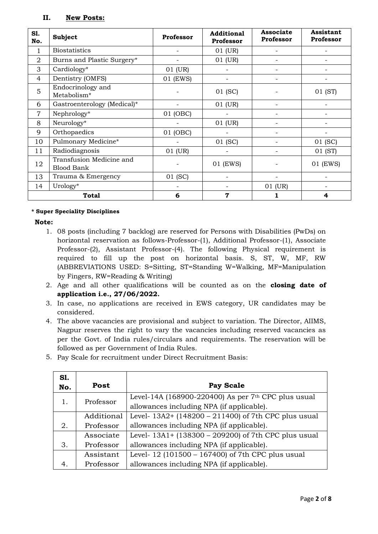## **II. New Posts:**

| S1.<br>No.     | <b>Subject</b>                                | <b>Professor</b> | <b>Additional</b><br>Professor | <b>Associate</b><br>Professor | Assistant<br>Professor |
|----------------|-----------------------------------------------|------------------|--------------------------------|-------------------------------|------------------------|
| 1              | <b>Biostatistics</b>                          |                  | 01 (UR)                        |                               |                        |
| $\overline{2}$ | Burns and Plastic Surgery*                    |                  | 01 (UR)                        |                               |                        |
| 3              | Cardiology*                                   | 01 (UR)          |                                |                               |                        |
| $\overline{4}$ | Dentistry (OMFS)                              | 01 (EWS)         |                                | -                             |                        |
| 5              | Endocrinology and<br>Metabolism*              |                  | 01 (SC)                        |                               | 01 (ST)                |
| 6              | Gastroenterology (Medical)*                   |                  | 01 (UR)                        |                               |                        |
| 7              | Nephrology*                                   | 01 (OBC)         |                                |                               |                        |
| 8              | Neurology*                                    |                  | 01 (UR)                        |                               |                        |
| 9              | Orthopaedics                                  | 01 (OBC)         |                                |                               |                        |
| 10             | Pulmonary Medicine*                           |                  | 01 (SC)                        |                               | 01 (SC)                |
| 11             | Radiodiagnosis                                | 01 (UR)          |                                |                               | 01 (ST)                |
| 12             | Transfusion Medicine and<br><b>Blood Bank</b> |                  | 01 (EWS)                       |                               | 01 (EWS)               |
| 13             | Trauma & Emergency                            | 01 (SC)          |                                |                               |                        |
| 14             | Urology*                                      |                  |                                | 01 (UR)                       |                        |
|                | <b>Total</b>                                  | 6                | $\mathbf 7$                    |                               | 4                      |

#### **\* Super Speciality Disciplines**

**Note:**

- 1. 08 posts (including 7 backlog) are reserved for Persons with Disabilities (PwDs) on horizontal reservation as follows-Professor-(1), Additional Professor-(1), Associate Professor-(2), Assistant Professor-(4). The following Physical requirement is required to fill up the post on horizontal basis. S, ST, W, MF, RW (ABBREVIATIONS USED: S=Sitting, ST=Standing W=Walking, MF=Manipulation by Fingers, RW=Reading & Writing)
- 2. Age and all other qualifications will be counted as on the **closing date of application i.e., 27/06/2022.**
- 3. In case, no applications are received in EWS category, UR candidates may be considered.
- 4. The above vacancies are provisional and subject to variation. The Director, AIIMS, Nagpur reserves the right to vary the vacancies including reserved vacancies as per the Govt. of India rules/circulars and requirements. The reservation will be followed as per Government of India Rules.
- 5. Pay Scale for recruitment under Direct Recruitment Basis:

| S1.            |                                                                      |                                                       |
|----------------|----------------------------------------------------------------------|-------------------------------------------------------|
| No.            | Post                                                                 | <b>Pay Scale</b>                                      |
| 1.             | Professor                                                            | Level-14A (168900-220400) As per $7th$ CPC plus usual |
|                |                                                                      | allowances including NPA (if applicable).             |
|                | Level- $13A2+ (148200 - 211400)$ of 7th CPC plus usual<br>Additional |                                                       |
| 2.             | Professor                                                            | allowances including NPA (if applicable).             |
|                | Associate                                                            | Level- 13A1+ (138300 – 209200) of 7th CPC plus usual  |
| 3.             | Professor                                                            | allowances including NPA (if applicable).             |
|                | Assistant                                                            | Level-12 (101500 – 167400) of 7th CPC plus usual      |
| 4 <sub>1</sub> | Professor                                                            | allowances including NPA (if applicable).             |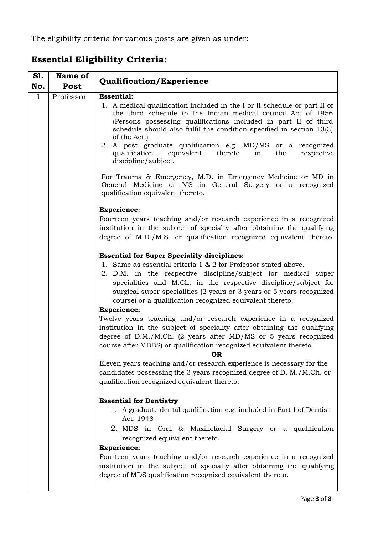The eligibility criteria for various posts are given as under:

| <b>S1.</b><br>No. | Name of<br>Post                              | <b>Qualification/Experience</b>                                                                                                                                                                                                                                                                                                                                                                                                                                                                                                                                                                                                                                                                                                                                                                                                                                                                                                              |  |
|-------------------|----------------------------------------------|----------------------------------------------------------------------------------------------------------------------------------------------------------------------------------------------------------------------------------------------------------------------------------------------------------------------------------------------------------------------------------------------------------------------------------------------------------------------------------------------------------------------------------------------------------------------------------------------------------------------------------------------------------------------------------------------------------------------------------------------------------------------------------------------------------------------------------------------------------------------------------------------------------------------------------------------|--|
| $\mathbf{1}$      | <b>Essential:</b><br>Professor               |                                                                                                                                                                                                                                                                                                                                                                                                                                                                                                                                                                                                                                                                                                                                                                                                                                                                                                                                              |  |
|                   |                                              | 1. A medical qualification included in the I or II schedule or part II of<br>the third schedule to the Indian medical council Act of 1956<br>(Persons possessing qualifications included in part II of third<br>schedule should also fulfil the condition specified in section 13(3)<br>of the Act.)                                                                                                                                                                                                                                                                                                                                                                                                                                                                                                                                                                                                                                         |  |
|                   |                                              | 2. A post graduate qualification e.g. MD/MS or a recognized<br>qualification<br>equivalent<br>thereto<br>in<br>the<br>respective<br>discipline/subject.                                                                                                                                                                                                                                                                                                                                                                                                                                                                                                                                                                                                                                                                                                                                                                                      |  |
|                   |                                              | For Trauma & Emergency, M.D. in Emergency Medicine or MD in<br>General Medicine or MS in General Surgery or a recognized<br>qualification equivalent thereto.                                                                                                                                                                                                                                                                                                                                                                                                                                                                                                                                                                                                                                                                                                                                                                                |  |
|                   |                                              | <b>Experience:</b>                                                                                                                                                                                                                                                                                                                                                                                                                                                                                                                                                                                                                                                                                                                                                                                                                                                                                                                           |  |
|                   |                                              | Fourteen years teaching and/or research experience in a recognized<br>institution in the subject of specialty after obtaining the qualifying<br>degree of M.D./M.S. or qualification recognized equivalent thereto.<br><b>Essential for Super Speciality disciplines:</b><br>1. Same as essential criteria 1 & 2 for Professor stated above.<br>2. D.M. in the respective discipline/subject for medical super<br>specialities and M.Ch. in the respective discipline/subject for<br>surgical super specialities (2 years or 3 years or 5 years recognized<br>course) or a qualification recognized equivalent thereto.<br><b>Experience:</b><br>Twelve years teaching and/or research experience in a recognized<br>institution in the subject of speciality after obtaining the qualifying<br>degree of D.M./M.Ch. (2 years after MD/MS or 5 years recognized<br>course after MBBS) or qualification recognized equivalent thereto.<br>ΩR. |  |
|                   |                                              |                                                                                                                                                                                                                                                                                                                                                                                                                                                                                                                                                                                                                                                                                                                                                                                                                                                                                                                                              |  |
|                   |                                              |                                                                                                                                                                                                                                                                                                                                                                                                                                                                                                                                                                                                                                                                                                                                                                                                                                                                                                                                              |  |
|                   |                                              |                                                                                                                                                                                                                                                                                                                                                                                                                                                                                                                                                                                                                                                                                                                                                                                                                                                                                                                                              |  |
|                   |                                              |                                                                                                                                                                                                                                                                                                                                                                                                                                                                                                                                                                                                                                                                                                                                                                                                                                                                                                                                              |  |
|                   |                                              |                                                                                                                                                                                                                                                                                                                                                                                                                                                                                                                                                                                                                                                                                                                                                                                                                                                                                                                                              |  |
|                   | qualification recognized equivalent thereto. | Eleven years teaching and/or research experience is necessary for the<br>candidates possessing the 3 years recognized degree of D. M./M.Ch. or                                                                                                                                                                                                                                                                                                                                                                                                                                                                                                                                                                                                                                                                                                                                                                                               |  |
|                   | <b>Essential for Dentistry</b>               |                                                                                                                                                                                                                                                                                                                                                                                                                                                                                                                                                                                                                                                                                                                                                                                                                                                                                                                                              |  |
|                   | Act, 1948                                    | 1. A graduate dental qualification e.g. included in Part-I of Dentist                                                                                                                                                                                                                                                                                                                                                                                                                                                                                                                                                                                                                                                                                                                                                                                                                                                                        |  |
|                   |                                              | 2. MDS in Oral & Maxillofacial Surgery or a qualification<br>recognized equivalent thereto.                                                                                                                                                                                                                                                                                                                                                                                                                                                                                                                                                                                                                                                                                                                                                                                                                                                  |  |
|                   |                                              | <b>Experience:</b>                                                                                                                                                                                                                                                                                                                                                                                                                                                                                                                                                                                                                                                                                                                                                                                                                                                                                                                           |  |
|                   |                                              | Fourteen years teaching and/or research experience in a recognized<br>institution in the subject of specialty after obtaining the qualifying                                                                                                                                                                                                                                                                                                                                                                                                                                                                                                                                                                                                                                                                                                                                                                                                 |  |
|                   |                                              | degree of MDS qualification recognized equivalent thereto.                                                                                                                                                                                                                                                                                                                                                                                                                                                                                                                                                                                                                                                                                                                                                                                                                                                                                   |  |

# **Essential Eligibility Criteria:**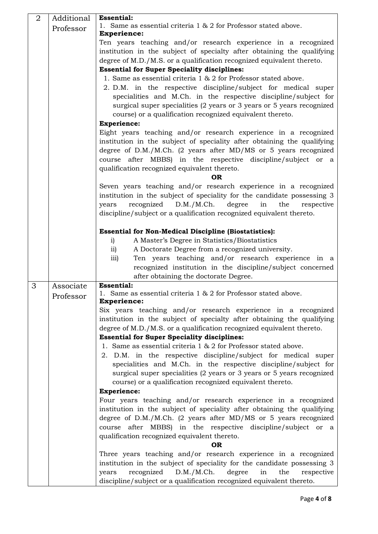| $\overline{2}$ | Additional | <b>Essential:</b>                                                                                                                               |  |
|----------------|------------|-------------------------------------------------------------------------------------------------------------------------------------------------|--|
|                | Professor  | 1. Same as essential criteria 1 & 2 for Professor stated above.                                                                                 |  |
|                |            | <b>Experience:</b>                                                                                                                              |  |
|                |            | Ten years teaching and/or research experience in a recognized                                                                                   |  |
|                |            | institution in the subject of specialty after obtaining the qualifying<br>degree of M.D./M.S. or a qualification recognized equivalent thereto. |  |
|                |            | <b>Essential for Super Speciality disciplines:</b>                                                                                              |  |
|                |            | 1. Same as essential criteria 1 & 2 for Professor stated above.                                                                                 |  |
|                |            | 2. D.M. in the respective discipline/subject for medical super                                                                                  |  |
|                |            | specialities and M.Ch. in the respective discipline/subject for                                                                                 |  |
|                |            | surgical super specialities (2 years or 3 years or 5 years recognized                                                                           |  |
|                |            | course) or a qualification recognized equivalent thereto.                                                                                       |  |
|                |            | <b>Experience:</b>                                                                                                                              |  |
|                |            | Eight years teaching and/or research experience in a recognized                                                                                 |  |
|                |            | institution in the subject of speciality after obtaining the qualifying                                                                         |  |
|                |            | degree of D.M./M.Ch. (2 years after MD/MS or 5 years recognized                                                                                 |  |
|                |            | course after MBBS) in the respective discipline/subject or a                                                                                    |  |
|                |            | qualification recognized equivalent thereto.                                                                                                    |  |
|                |            | <b>OR</b>                                                                                                                                       |  |
|                |            | Seven years teaching and/or research experience in a recognized<br>institution in the subject of speciality for the candidate possessing 3      |  |
|                |            | recognized<br>D.M./M.Ch.<br>degree<br>the<br>years<br>in<br>respective                                                                          |  |
|                |            | discipline/subject or a qualification recognized equivalent thereto.                                                                            |  |
|                |            |                                                                                                                                                 |  |
|                |            | <b>Essential for Non-Medical Discipline (Biostatistics):</b>                                                                                    |  |
|                |            | A Master's Degree in Statistics/Biostatistics<br>i)                                                                                             |  |
|                |            | A Doctorate Degree from a recognized university.<br>$\overline{11}$                                                                             |  |
|                |            | Ten years teaching and/or research experience in a<br>iii)                                                                                      |  |
|                |            | recognized institution in the discipline/subject concerned                                                                                      |  |
|                |            | after obtaining the doctorate Degree.                                                                                                           |  |
| 3              | Associate  | <b>Essential:</b><br>1. Same as essential criteria 1 & 2 for Professor stated above.                                                            |  |
|                | Professor  | <b>Experience:</b>                                                                                                                              |  |
|                |            | Six years teaching and/or research experience in a recognized                                                                                   |  |
|                |            | institution in the subject of specialty after obtaining the qualifying                                                                          |  |
|                |            | degree of M.D./M.S. or a qualification recognized equivalent thereto.                                                                           |  |
|                |            | <b>Essential for Super Speciality disciplines:</b>                                                                                              |  |
|                |            | 1. Same as essential criteria 1 & 2 for Professor stated above.                                                                                 |  |
|                |            | 2. D.M. in the respective discipline/subject for medical super                                                                                  |  |
|                |            | specialities and M.Ch. in the respective discipline/subject for                                                                                 |  |
|                |            | surgical super specialities (2 years or 3 years or 5 years recognized                                                                           |  |
|                |            | course) or a qualification recognized equivalent thereto.                                                                                       |  |
|                |            | <b>Experience:</b><br>Four years teaching and/or research experience in a recognized                                                            |  |
|                |            | institution in the subject of speciality after obtaining the qualifying                                                                         |  |
|                |            | degree of D.M./M.Ch. (2 years after MD/MS or 5 years recognized                                                                                 |  |
|                |            | course after MBBS) in the respective discipline/subject or a                                                                                    |  |
|                |            | qualification recognized equivalent thereto.                                                                                                    |  |
|                |            | <b>OR</b>                                                                                                                                       |  |
|                |            | Three years teaching and/or research experience in a recognized                                                                                 |  |
|                |            | institution in the subject of speciality for the candidate possessing 3                                                                         |  |
|                |            | D.M./M.Ch.<br>the<br>recognized<br>degree<br>in<br>respective<br>years                                                                          |  |
|                |            | discipline/subject or a qualification recognized equivalent thereto.                                                                            |  |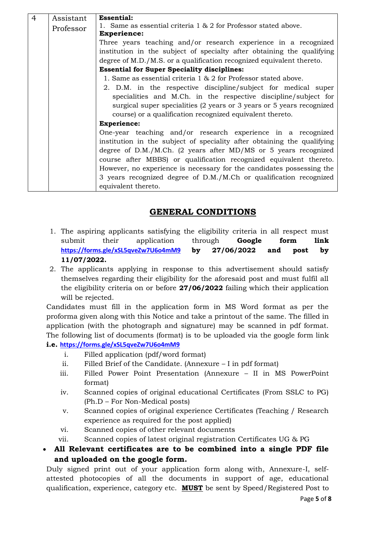| $\overline{4}$ | Assistant                                                 | <b>Essential:</b>                                                       |
|----------------|-----------------------------------------------------------|-------------------------------------------------------------------------|
|                | Professor                                                 | 1. Same as essential criteria $1 \& 2$ for Professor stated above.      |
|                |                                                           | <b>Experience:</b>                                                      |
|                |                                                           | Three years teaching and/or research experience in a recognized         |
|                |                                                           | institution in the subject of specialty after obtaining the qualifying  |
|                |                                                           | degree of M.D./M.S. or a qualification recognized equivalent thereto.   |
|                |                                                           | <b>Essential for Super Speciality disciplines:</b>                      |
|                |                                                           | 1. Same as essential criteria 1 & 2 for Professor stated above.         |
|                |                                                           | 2. D.M. in the respective discipline/subject for medical super          |
|                |                                                           | specialities and M.Ch. in the respective discipline/subject for         |
|                |                                                           | surgical super specialities (2 years or 3 years or 5 years recognized   |
|                | course) or a qualification recognized equivalent thereto. |                                                                         |
|                |                                                           | <b>Experience:</b>                                                      |
|                |                                                           | One-year teaching and/or research experience in a recognized            |
|                |                                                           | institution in the subject of speciality after obtaining the qualifying |
|                |                                                           | degree of $D.M./M.Ch.$ (2 years after MD/MS or 5 years recognized       |
|                |                                                           | course after MBBS) or qualification recognized equivalent thereto.      |
|                |                                                           | However, no experience is necessary for the candidates possessing the   |
|                |                                                           | 3 years recognized degree of D.M./M.Ch or qualification recognized      |
|                |                                                           | equivalent thereto.                                                     |

## **GENERAL CONDITIONS**

- 1. The aspiring applicants satisfying the eligibility criteria in all respect must submit their application through **Google form link <https://forms.gle/xSL5qveZw7U6o4mM9> by 27/06/2022 and post by 11/07/2022.**
- 2. The applicants applying in response to this advertisement should satisfy themselves regarding their eligibility for the aforesaid post and must fulfil all the eligibility criteria on or before **27/06/2022** failing which their application will be rejected.

Candidates must fill in the application form in MS Word format as per the proforma given along with this Notice and take a printout of the same. The filled in application (with the photograph and signature) may be scanned in pdf format. The following list of documents (format) is to be uploaded via the google form link **i.e. <https://forms.gle/xSL5qveZw7U6o4mM9>**

- i. Filled application (pdf/word format)
- ii. Filled Brief of the Candidate. (Annexure I in pdf format)
- iii. Filled Power Point Presentation (Annexure II in MS PowerPoint format)
- iv. Scanned copies of original educational Certificates (From SSLC to PG) (Ph.D – For Non-Medical posts)
- v. Scanned copies of original experience Certificates (Teaching / Research experience as required for the post applied)
- vi. Scanned copies of other relevant documents
- vii. Scanned copies of latest original registration Certificates UG & PG

## **All Relevant certificates are to be combined into a single PDF file and uploaded on the google form.**

Duly signed print out of your application form along with, Annexure-I, selfattested photocopies of all the documents in support of age, educational qualification, experience, category etc. **MUST** be sent by Speed/Registered Post to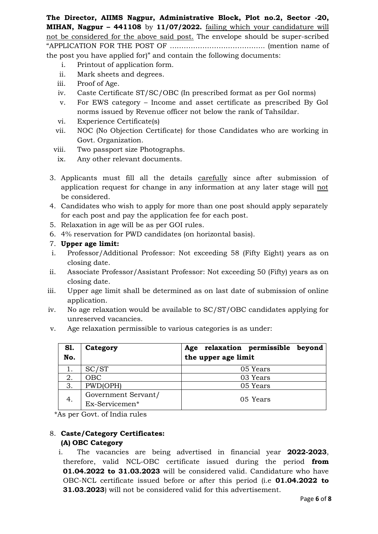**The Director, AIIMS Nagpur, Administrative Block, Plot no.2, Sector -20, MIHAN, Nagpur – 441108** by **11/07/2022.** failing which your candidature will not be considered for the above said post. The envelope should be super-scribed "APPLICATION FOR THE POST OF ………………………………….. (mention name of the post you have applied for)" and contain the following documents:

- i. Printout of application form.
- ii. Mark sheets and degrees.
- iii. Proof of Age.
- iv. Caste Certificate ST/SC/OBC (In prescribed format as per GoI norms)
- v. For EWS category Income and asset certificate as prescribed By GoI norms issued by Revenue officer not below the rank of Tahsildar.
- vi. Experience Certificate(s)
- vii. NOC (No Objection Certificate) for those Candidates who are working in Govt. Organization.
- viii. Two passport size Photographs.
- ix. Any other relevant documents.
- 3. Applicants must fill all the details carefully since after submission of application request for change in any information at any later stage will not be considered.
- 4. Candidates who wish to apply for more than one post should apply separately for each post and pay the application fee for each post.
- 5. Relaxation in age will be as per GOI rules.
- 6. 4% reservation for PWD candidates (on horizontal basis).
- 7. **Upper age limit:**
- i. Professor/Additional Professor: Not exceeding 58 (Fifty Eight) years as on closing date.
- ii. Associate Professor/Assistant Professor: Not exceeding 50 (Fifty) years as on closing date.
- iii. Upper age limit shall be determined as on last date of submission of online application.
- iv. No age relaxation would be available to SC/ST/OBC candidates applying for unreserved vacancies.
- v. Age relaxation permissible to various categories is as under:

| <b>S1.</b><br>No. | Category                              | relaxation permissible beyond<br>Age<br>the upper age limit |
|-------------------|---------------------------------------|-------------------------------------------------------------|
|                   | SC/ST                                 | 05 Years                                                    |
| 2.                | <b>OBC</b>                            | 03 Years                                                    |
| 3.                | PWD(OPH)                              | 05 Years                                                    |
| 4.                | Government Servant/<br>Ex-Servicemen* | 05 Years                                                    |

\*As per Govt. of India rules

## 8. **Caste/Category Certificates: (A) OBC Category**

i. The vacancies are being advertised in financial year **2022-2023**, therefore, valid NCL-OBC certificate issued during the period **from 01.04.2022 to 31.03.2023** will be considered valid. Candidature who have OBC-NCL certificate issued before or after this period (i.e **01.04.2022 to 31.03.2023**) will not be considered valid for this advertisement.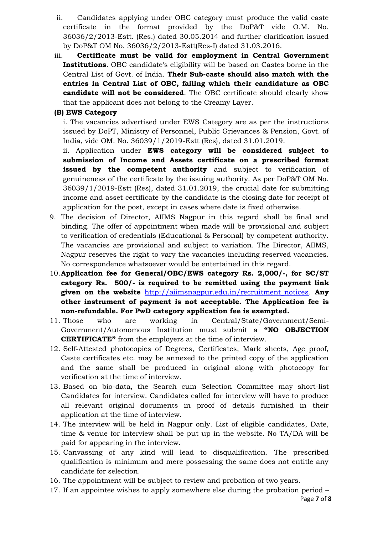- ii. Candidates applying under OBC category must produce the valid caste certificate in the format provided by the DoP&T vide O.M. No. 36036/2/2013-Estt. (Res.) dated 30.05.2014 and further clarification issued by DoP&T OM No. 36036/2/2013-Estt(Res-I) dated 31.03.2016.
- iii. **Certificate must be valid for employment in Central Government Institutions**. OBC candidate's eligibility will be based on Castes borne in the Central List of Govt. of India. **Their Sub-caste should also match with the entries in Central List of OBC, failing which their candidature as OBC candidate will not be considered**. The OBC certificate should clearly show that the applicant does not belong to the Creamy Layer.

### **(B) EWS Category**

i. The vacancies advertised under EWS Category are as per the instructions issued by DoPT, Ministry of Personnel, Public Grievances & Pension, Govt. of India, vide OM. No. 36039/1/2019-Estt (Res), dated 31.01.2019.

ii. Application under **EWS category will be considered subject to submission of Income and Assets certificate on a prescribed format issued by the competent authority** and subject to verification of genuineness of the certificate by the issuing authority. As per DoP&T OM No. 36039/1/2019-Estt (Res), dated 31.01.2019, the crucial date for submitting income and asset certificate by the candidate is the closing date for receipt of application for the post, except in cases where date is fixed otherwise.

- 9. The decision of Director, AIIMS Nagpur in this regard shall be final and binding. The offer of appointment when made will be provisional and subject to verification of credentials (Educational & Personal) by competent authority. The vacancies are provisional and subject to variation. The Director, AIIMS, Nagpur reserves the right to vary the vacancies including reserved vacancies. No correspondence whatsoever would be entertained in this regard.
- 10.**Application fee for General/OBC/EWS category Rs. 2,000/-, for SC/ST category Rs. 500/- is required to be remitted using the payment link given on the website** [http://aiimsnagpur.edu.in/recruitment\\_notices.](http://aiimsnagpur.edu.in/recruitment_notices) **Any other instrument of payment is not acceptable. The Application fee is non-refundable. For PwD category application fee is exempted.**
- 11. Those who are working in Central/State/Government/Semi-Government/Autonomous Institution must submit a **"NO OBJECTION CERTIFICATE"** from the employers at the time of interview.
- 12. Self-Attested photocopies of Degrees, Certificates, Mark sheets, Age proof, Caste certificates etc. may be annexed to the printed copy of the application and the same shall be produced in original along with photocopy for verification at the time of interview.
- 13. Based on bio-data, the Search cum Selection Committee may short-list Candidates for interview. Candidates called for interview will have to produce all relevant original documents in proof of details furnished in their application at the time of interview.
- 14. The interview will be held in Nagpur only. List of eligible candidates, Date, time & venue for interview shall be put up in the website. No TA/DA will be paid for appearing in the interview.
- 15. Canvassing of any kind will lead to disqualification. The prescribed qualification is minimum and mere possessing the same does not entitle any candidate for selection.
- 16. The appointment will be subject to review and probation of two years.
- 17. If an appointee wishes to apply somewhere else during the probation period –